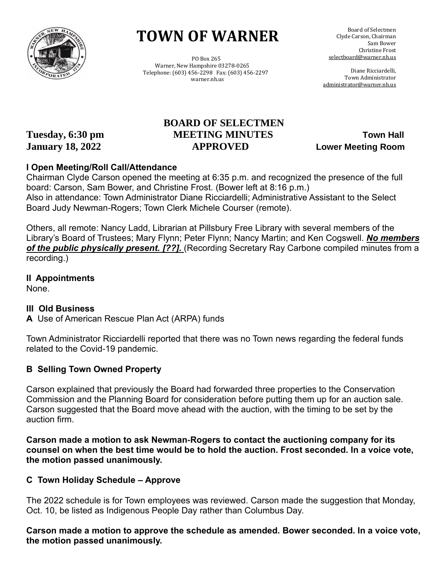

# **TOWN OF WARNER**

 PO Box 265 Warner, New Hampshire 03278-0265 Telephone: (603) 456-2298 Fax: (603) 456-2297 warner.nh.us

 Board of Selectmen Clyde Carson, Chairman Sam Bower Christine Frost selectboard@warner.nh.us

 Diane Ricciardelli, Town Administrator [administrator@warner.nh.us](mailto:administrator@warner.nh.us)

# **BOARD OF SELECTMEN Tuesday, 6:30 pm MEETING MINUTES Town Hall January 18, 2022 APPROVED Lower Meeting Room**

## **I Open Meeting/Roll Call/Attendance**

Chairman Clyde Carson opened the meeting at 6:35 p.m. and recognized the presence of the full board: Carson, Sam Bower, and Christine Frost. (Bower left at 8:16 p.m.) Also in attendance: Town Administrator Diane Ricciardelli; Administrative Assistant to the Select Board Judy Newman-Rogers; Town Clerk Michele Courser (remote).

Others, all remote: Nancy Ladd, Librarian at Pillsbury Free Library with several members of the Library's Board of Trustees; Mary Flynn; Peter Flynn; Nancy Martin; and Ken Cogswell. *No members of the public physically present. [??].* (Recording Secretary Ray Carbone compiled minutes from a recording.)

**II Appointments**

None.

## **III Old Business**

**A** Use of American Rescue Plan Act (ARPA) funds

Town Administrator Ricciardelli reported that there was no Town news regarding the federal funds related to the Covid-19 pandemic.

## **B Selling Town Owned Property**

Carson explained that previously the Board had forwarded three properties to the Conservation Commission and the Planning Board for consideration before putting them up for an auction sale. Carson suggested that the Board move ahead with the auction, with the timing to be set by the auction firm.

**Carson made a motion to ask Newman-Rogers to contact the auctioning company for its counsel on when the best time would be to hold the auction. Frost seconded. In a voice vote, the motion passed unanimously.**

## **C Town Holiday Schedule – Approve**

The 2022 schedule is for Town employees was reviewed. Carson made the suggestion that Monday, Oct. 10, be listed as Indigenous People Day rather than Columbus Day.

**Carson made a motion to approve the schedule as amended. Bower seconded. In a voice vote, the motion passed unanimously.**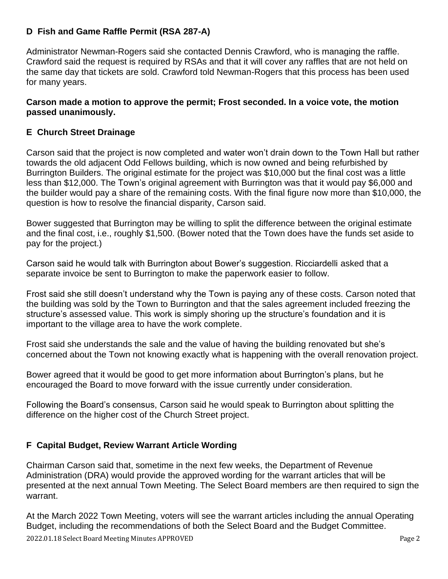## **D Fish and Game Raffle Permit (RSA 287-A)**

Administrator Newman-Rogers said she contacted Dennis Crawford, who is managing the raffle. Crawford said the request is required by RSAs and that it will cover any raffles that are not held on the same day that tickets are sold. Crawford told Newman-Rogers that this process has been used for many years.

#### **Carson made a motion to approve the permit; Frost seconded. In a voice vote, the motion passed unanimously.**

## **E Church Street Drainage**

Carson said that the project is now completed and water won't drain down to the Town Hall but rather towards the old adjacent Odd Fellows building, which is now owned and being refurbished by Burrington Builders. The original estimate for the project was \$10,000 but the final cost was a little less than \$12,000. The Town's original agreement with Burrington was that it would pay \$6,000 and the builder would pay a share of the remaining costs. With the final figure now more than \$10,000, the question is how to resolve the financial disparity, Carson said.

Bower suggested that Burrington may be willing to split the difference between the original estimate and the final cost, i.e., roughly \$1,500. (Bower noted that the Town does have the funds set aside to pay for the project.)

Carson said he would talk with Burrington about Bower's suggestion. Ricciardelli asked that a separate invoice be sent to Burrington to make the paperwork easier to follow.

Frost said she still doesn't understand why the Town is paying any of these costs. Carson noted that the building was sold by the Town to Burrington and that the sales agreement included freezing the structure's assessed value. This work is simply shoring up the structure's foundation and it is important to the village area to have the work complete.

Frost said she understands the sale and the value of having the building renovated but she's concerned about the Town not knowing exactly what is happening with the overall renovation project.

Bower agreed that it would be good to get more information about Burrington's plans, but he encouraged the Board to move forward with the issue currently under consideration.

Following the Board's consensus, Carson said he would speak to Burrington about splitting the difference on the higher cost of the Church Street project.

## **F Capital Budget, Review Warrant Article Wording**

Chairman Carson said that, sometime in the next few weeks, the Department of Revenue Administration (DRA) would provide the approved wording for the warrant articles that will be presented at the next annual Town Meeting. The Select Board members are then required to sign the warrant.

2022.01.18 Select Board Meeting Minutes APPROVED Page 2 At the March 2022 Town Meeting, voters will see the warrant articles including the annual Operating Budget, including the recommendations of both the Select Board and the Budget Committee.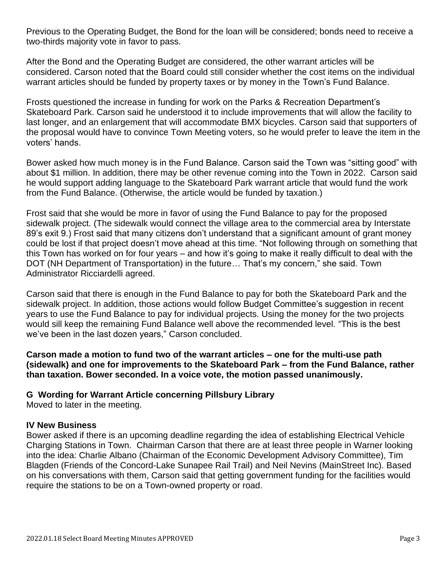Previous to the Operating Budget, the Bond for the loan will be considered; bonds need to receive a two-thirds majority vote in favor to pass.

After the Bond and the Operating Budget are considered, the other warrant articles will be considered. Carson noted that the Board could still consider whether the cost items on the individual warrant articles should be funded by property taxes or by money in the Town's Fund Balance.

Frosts questioned the increase in funding for work on the Parks & Recreation Department's Skateboard Park. Carson said he understood it to include improvements that will allow the facility to last longer, and an enlargement that will accommodate BMX bicycles. Carson said that supporters of the proposal would have to convince Town Meeting voters, so he would prefer to leave the item in the voters' hands.

Bower asked how much money is in the Fund Balance. Carson said the Town was "sitting good" with about \$1 million. In addition, there may be other revenue coming into the Town in 2022. Carson said he would support adding language to the Skateboard Park warrant article that would fund the work from the Fund Balance. (Otherwise, the article would be funded by taxation.)

Frost said that she would be more in favor of using the Fund Balance to pay for the proposed sidewalk project. (The sidewalk would connect the village area to the commercial area by Interstate 89's exit 9.) Frost said that many citizens don't understand that a significant amount of grant money could be lost if that project doesn't move ahead at this time. "Not following through on something that this Town has worked on for four years – and how it's going to make it really difficult to deal with the DOT (NH Department of Transportation) in the future… That's my concern," she said. Town Administrator Ricciardelli agreed.

Carson said that there is enough in the Fund Balance to pay for both the Skateboard Park and the sidewalk project. In addition, those actions would follow Budget Committee's suggestion in recent years to use the Fund Balance to pay for individual projects. Using the money for the two projects would sill keep the remaining Fund Balance well above the recommended level. "This is the best we've been in the last dozen years," Carson concluded.

**Carson made a motion to fund two of the warrant articles – one for the multi-use path (sidewalk) and one for improvements to the Skateboard Park – from the Fund Balance, rather than taxation. Bower seconded. In a voice vote, the motion passed unanimously.**

#### **G Wording for Warrant Article concerning Pillsbury Library**

Moved to later in the meeting.

#### **IV New Business**

Bower asked if there is an upcoming deadline regarding the idea of establishing Electrical Vehicle Charging Stations in Town. Chairman Carson that there are at least three people in Warner looking into the idea: Charlie Albano (Chairman of the Economic Development Advisory Committee), Tim Blagden (Friends of the Concord-Lake Sunapee Rail Trail) and Neil Nevins (MainStreet Inc). Based on his conversations with them, Carson said that getting government funding for the facilities would require the stations to be on a Town-owned property or road.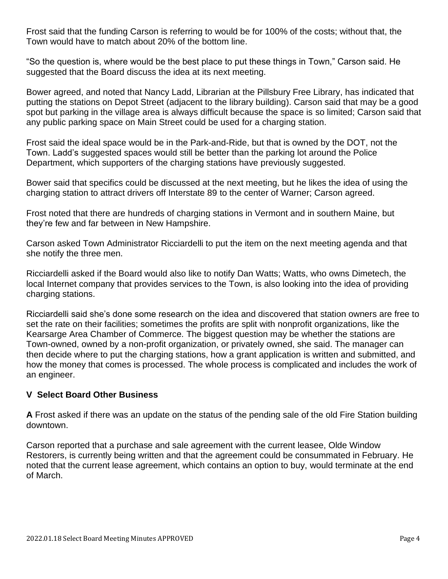Frost said that the funding Carson is referring to would be for 100% of the costs; without that, the Town would have to match about 20% of the bottom line.

"So the question is, where would be the best place to put these things in Town," Carson said. He suggested that the Board discuss the idea at its next meeting.

Bower agreed, and noted that Nancy Ladd, Librarian at the Pillsbury Free Library, has indicated that putting the stations on Depot Street (adjacent to the library building). Carson said that may be a good spot but parking in the village area is always difficult because the space is so limited; Carson said that any public parking space on Main Street could be used for a charging station.

Frost said the ideal space would be in the Park-and-Ride, but that is owned by the DOT, not the Town. Ladd's suggested spaces would still be better than the parking lot around the Police Department, which supporters of the charging stations have previously suggested.

Bower said that specifics could be discussed at the next meeting, but he likes the idea of using the charging station to attract drivers off Interstate 89 to the center of Warner; Carson agreed.

Frost noted that there are hundreds of charging stations in Vermont and in southern Maine, but they're few and far between in New Hampshire.

Carson asked Town Administrator Ricciardelli to put the item on the next meeting agenda and that she notify the three men.

Ricciardelli asked if the Board would also like to notify Dan Watts; Watts, who owns Dimetech, the local Internet company that provides services to the Town, is also looking into the idea of providing charging stations.

Ricciardelli said she's done some research on the idea and discovered that station owners are free to set the rate on their facilities; sometimes the profits are split with nonprofit organizations, like the Kearsarge Area Chamber of Commerce. The biggest question may be whether the stations are Town-owned, owned by a non-profit organization, or privately owned, she said. The manager can then decide where to put the charging stations, how a grant application is written and submitted, and how the money that comes is processed. The whole process is complicated and includes the work of an engineer.

#### **V Select Board Other Business**

**A** Frost asked if there was an update on the status of the pending sale of the old Fire Station building downtown.

Carson reported that a purchase and sale agreement with the current leasee, Olde Window Restorers, is currently being written and that the agreement could be consummated in February. He noted that the current lease agreement, which contains an option to buy, would terminate at the end of March.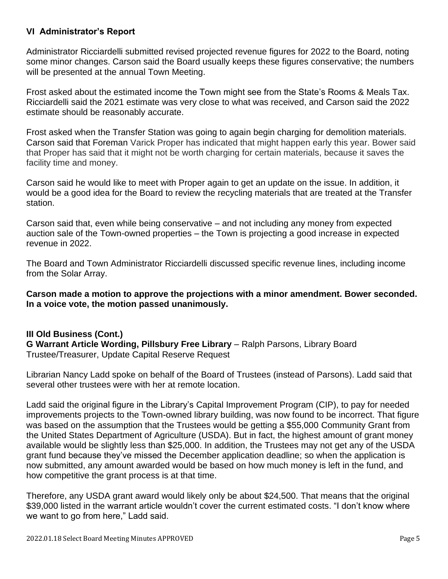## **VI Administrator's Report**

Administrator Ricciardelli submitted revised projected revenue figures for 2022 to the Board, noting some minor changes. Carson said the Board usually keeps these figures conservative; the numbers will be presented at the annual Town Meeting.

Frost asked about the estimated income the Town might see from the State's Rooms & Meals Tax. Ricciardelli said the 2021 estimate was very close to what was received, and Carson said the 2022 estimate should be reasonably accurate.

Frost asked when the Transfer Station was going to again begin charging for demolition materials. Carson said that Foreman Varick Proper has indicated that might happen early this year. Bower said that Proper has said that it might not be worth charging for certain materials, because it saves the facility time and money.

Carson said he would like to meet with Proper again to get an update on the issue. In addition, it would be a good idea for the Board to review the recycling materials that are treated at the Transfer station.

Carson said that, even while being conservative – and not including any money from expected auction sale of the Town-owned properties – the Town is projecting a good increase in expected revenue in 2022.

The Board and Town Administrator Ricciardelli discussed specific revenue lines, including income from the Solar Array.

**Carson made a motion to approve the projections with a minor amendment. Bower seconded. In a voice vote, the motion passed unanimously.**

**III Old Business (Cont.) G Warrant Article Wording, Pillsbury Free Library** – Ralph Parsons, Library Board Trustee/Treasurer, Update Capital Reserve Request

Librarian Nancy Ladd spoke on behalf of the Board of Trustees (instead of Parsons). Ladd said that several other trustees were with her at remote location.

Ladd said the original figure in the Library's Capital Improvement Program (CIP), to pay for needed improvements projects to the Town-owned library building, was now found to be incorrect. That figure was based on the assumption that the Trustees would be getting a \$55,000 Community Grant from the United States Department of Agriculture (USDA). But in fact, the highest amount of grant money available would be slightly less than \$25,000. In addition, the Trustees may not get any of the USDA grant fund because they've missed the December application deadline; so when the application is now submitted, any amount awarded would be based on how much money is left in the fund, and how competitive the grant process is at that time.

Therefore, any USDA grant award would likely only be about \$24,500. That means that the original \$39,000 listed in the warrant article wouldn't cover the current estimated costs. "I don't know where we want to go from here," Ladd said.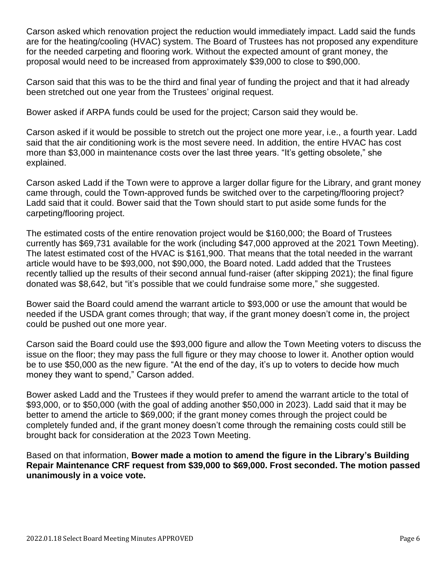Carson asked which renovation project the reduction would immediately impact. Ladd said the funds are for the heating/cooling (HVAC) system. The Board of Trustees has not proposed any expenditure for the needed carpeting and flooring work. Without the expected amount of grant money, the proposal would need to be increased from approximately \$39,000 to close to \$90,000.

Carson said that this was to be the third and final year of funding the project and that it had already been stretched out one year from the Trustees' original request.

Bower asked if ARPA funds could be used for the project; Carson said they would be.

Carson asked if it would be possible to stretch out the project one more year, i.e., a fourth year. Ladd said that the air conditioning work is the most severe need. In addition, the entire HVAC has cost more than \$3,000 in maintenance costs over the last three years. "It's getting obsolete," she explained.

Carson asked Ladd if the Town were to approve a larger dollar figure for the Library, and grant money came through, could the Town-approved funds be switched over to the carpeting/flooring project? Ladd said that it could. Bower said that the Town should start to put aside some funds for the carpeting/flooring project.

The estimated costs of the entire renovation project would be \$160,000; the Board of Trustees currently has \$69,731 available for the work (including \$47,000 approved at the 2021 Town Meeting). The latest estimated cost of the HVAC is \$161,900. That means that the total needed in the warrant article would have to be \$93,000, not \$90,000, the Board noted. Ladd added that the Trustees recently tallied up the results of their second annual fund-raiser (after skipping 2021); the final figure donated was \$8,642, but "it's possible that we could fundraise some more," she suggested.

Bower said the Board could amend the warrant article to \$93,000 or use the amount that would be needed if the USDA grant comes through; that way, if the grant money doesn't come in, the project could be pushed out one more year.

Carson said the Board could use the \$93,000 figure and allow the Town Meeting voters to discuss the issue on the floor; they may pass the full figure or they may choose to lower it. Another option would be to use \$50,000 as the new figure. "At the end of the day, it's up to voters to decide how much money they want to spend," Carson added.

Bower asked Ladd and the Trustees if they would prefer to amend the warrant article to the total of \$93,000, or to \$50,000 (with the goal of adding another \$50,000 in 2023). Ladd said that it may be better to amend the article to \$69,000; if the grant money comes through the project could be completely funded and, if the grant money doesn't come through the remaining costs could still be brought back for consideration at the 2023 Town Meeting.

Based on that information, **Bower made a motion to amend the figure in the Library's Building Repair Maintenance CRF request from \$39,000 to \$69,000. Frost seconded. The motion passed unanimously in a voice vote.**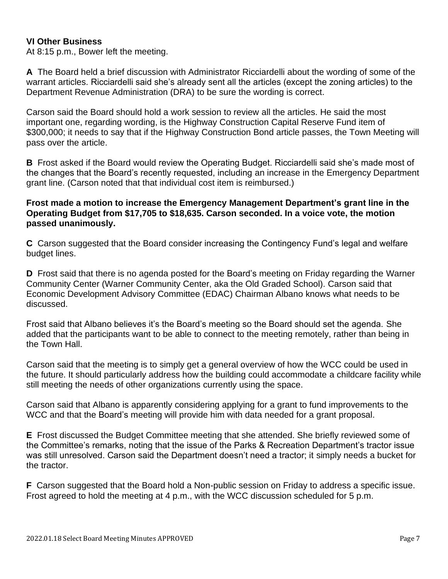#### **VI Other Business**

At 8:15 p.m., Bower left the meeting.

**A** The Board held a brief discussion with Administrator Ricciardelli about the wording of some of the warrant articles. Ricciardelli said she's already sent all the articles (except the zoning articles) to the Department Revenue Administration (DRA) to be sure the wording is correct.

Carson said the Board should hold a work session to review all the articles. He said the most important one, regarding wording, is the Highway Construction Capital Reserve Fund item of \$300,000; it needs to say that if the Highway Construction Bond article passes, the Town Meeting will pass over the article.

**B** Frost asked if the Board would review the Operating Budget. Ricciardelli said she's made most of the changes that the Board's recently requested, including an increase in the Emergency Department grant line. (Carson noted that that individual cost item is reimbursed.)

#### **Frost made a motion to increase the Emergency Management Department's grant line in the Operating Budget from \$17,705 to \$18,635. Carson seconded. In a voice vote, the motion passed unanimously.**

**C** Carson suggested that the Board consider increasing the Contingency Fund's legal and welfare budget lines.

**D** Frost said that there is no agenda posted for the Board's meeting on Friday regarding the Warner Community Center (Warner Community Center, aka the Old Graded School). Carson said that Economic Development Advisory Committee (EDAC) Chairman Albano knows what needs to be discussed.

Frost said that Albano believes it's the Board's meeting so the Board should set the agenda. She added that the participants want to be able to connect to the meeting remotely, rather than being in the Town Hall.

Carson said that the meeting is to simply get a general overview of how the WCC could be used in the future. It should particularly address how the building could accommodate a childcare facility while still meeting the needs of other organizations currently using the space.

Carson said that Albano is apparently considering applying for a grant to fund improvements to the WCC and that the Board's meeting will provide him with data needed for a grant proposal.

**E** Frost discussed the Budget Committee meeting that she attended. She briefly reviewed some of the Committee's remarks, noting that the issue of the Parks & Recreation Department's tractor issue was still unresolved. Carson said the Department doesn't need a tractor; it simply needs a bucket for the tractor.

**F** Carson suggested that the Board hold a Non-public session on Friday to address a specific issue. Frost agreed to hold the meeting at 4 p.m., with the WCC discussion scheduled for 5 p.m.